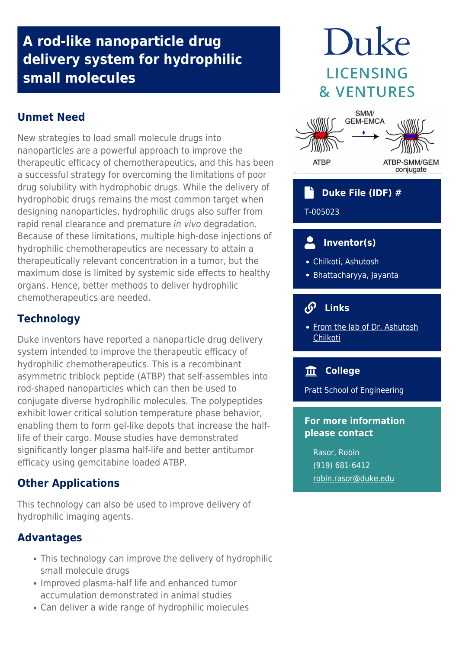## **A rod-like nanoparticle drug delivery system for hydrophilic small molecules**

## **Unmet Need**

New strategies to load small molecule drugs into nanoparticles are a powerful approach to improve the therapeutic efficacy of chemotherapeutics, and this has been a successful strategy for overcoming the limitations of poor drug solubility with hydrophobic drugs. While the delivery of hydrophobic drugs remains the most common target when designing nanoparticles, hydrophilic drugs also suffer from rapid renal clearance and premature in vivo degradation. Because of these limitations, multiple high‐dose injections of hydrophilic chemotherapeutics are necessary to attain a therapeutically relevant concentration in a tumor, but the maximum dose is limited by systemic side effects to healthy organs. Hence, better methods to deliver hydrophilic chemotherapeutics are needed.

## **Technology**

Duke inventors have reported a nanoparticle drug delivery system intended to improve the therapeutic efficacy of hydrophilic chemotherapeutics. This is a recombinant asymmetric triblock peptide (ATBP) that self-assembles into rod-shaped nanoparticles which can then be used to conjugate diverse hydrophilic molecules. The polypeptides exhibit lower critical solution temperature phase behavior, enabling them to form gel-like depots that increase the halflife of their cargo. Mouse studies have demonstrated significantly longer plasma half-life and better antitumor efficacy using gemcitabine loaded ATBP.

## **Other Applications**

This technology can also be used to improve delivery of hydrophilic imaging agents.

## **Advantages**

- This technology can improve the delivery of hydrophilic small molecule drugs
- Improved plasma-half life and enhanced tumor accumulation demonstrated in animal studies
- Can deliver a wide range of hydrophilic molecules

# Duke **LICENSING & VENTURES**



## **Duke File (IDF) #**

T-005023

#### $\overline{\mathbf{C}}$  **Inventor(s)**

- Chilkoti, Ashutosh
- Bhattacharyya, Jayanta

#### டு  **Links**

• [From the lab of Dr. Ashutosh](http://chilkotilab.pratt.duke.edu/) [Chilkoti](http://chilkotilab.pratt.duke.edu/)

## **College**

Pratt School of Engineering

## **For more information please contact**

Rasor, Robin (919) 681-6412 [robin.rasor@duke.edu](mailto:robin.rasor@duke.edu)